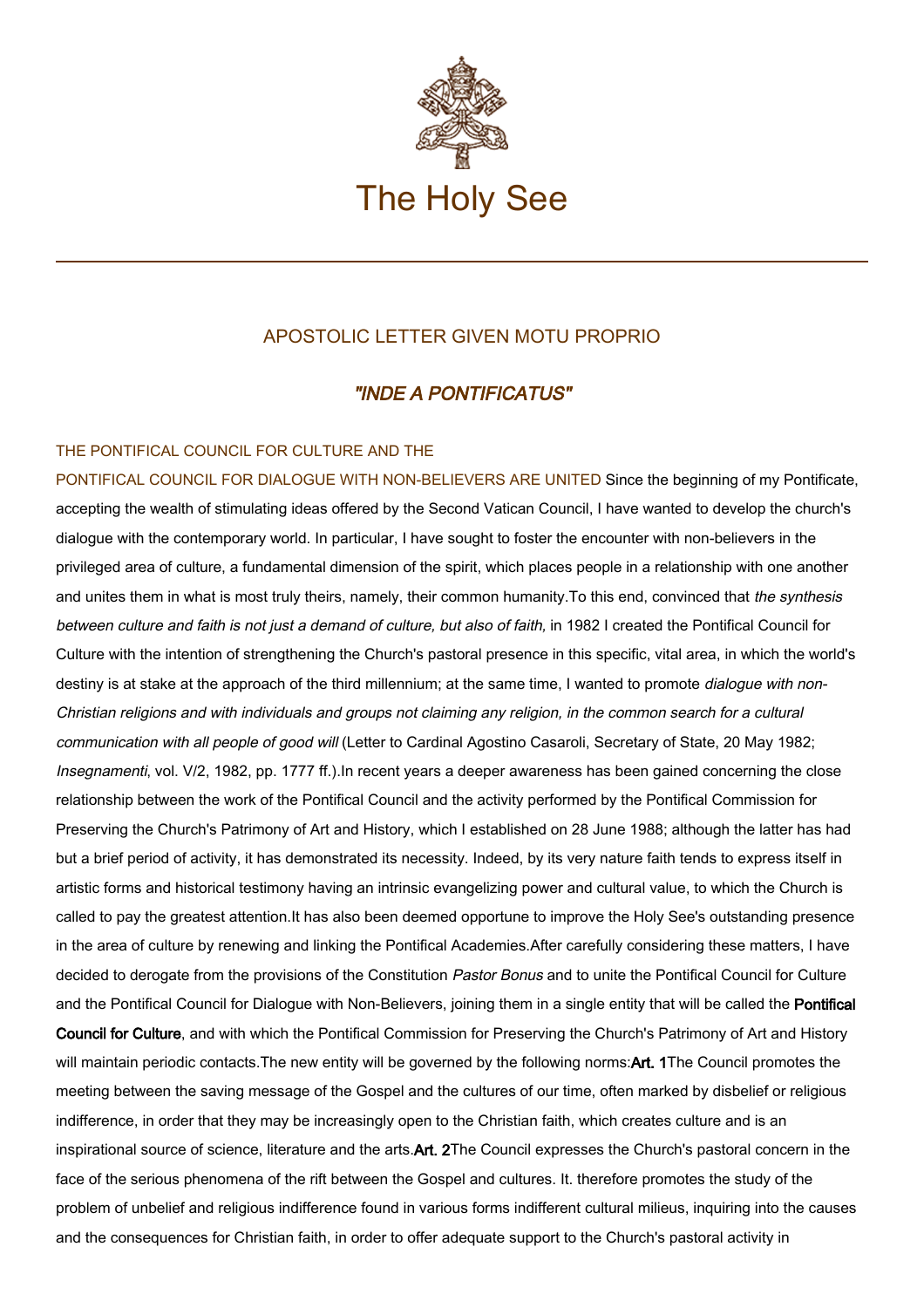

## APOSTOLIC LETTER GIVEN MOTU PROPRIO

## "INDE A PONTIFICATUS"

## THE PONTIFICAL COUNCIL FOR CULTURE AND THE

PONTIFICAL COUNCIL FOR DIALOGUE WITH NON-BELIEVERS ARE UNITED Since the beginning of my Pontificate, accepting the wealth of stimulating ideas offered by the Second Vatican Council, I have wanted to develop the church's dialogue with the contemporary world. In particular, I have sought to foster the encounter with non-believers in the privileged area of culture, a fundamental dimension of the spirit, which places people in a relationship with one another and unites them in what is most truly theirs, namely, their common humanity. To this end, convinced that the synthesis between culture and faith is not just a demand of culture, but also of faith, in 1982 I created the Pontifical Council for Culture with the intention of strengthening the Church's pastoral presence in this specific, vital area, in which the world's destiny is at stake at the approach of the third millennium; at the same time, I wanted to promote dialogue with non-Christian religions and with individuals and groups not claiming any religion, in the common search for a cultural communication with all people of good will (Letter to Cardinal Agostino Casaroli, Secretary of State, 20 May 1982; Insegnamenti, vol. V/2, 1982, pp. 1777 ff.).In recent years a deeper awareness has been gained concerning the close relationship between the work of the Pontifical Council and the activity performed by the Pontifical Commission for Preserving the Church's Patrimony of Art and History, which I established on 28 June 1988; although the latter has had but a brief period of activity, it has demonstrated its necessity. Indeed, by its very nature faith tends to express itself in artistic forms and historical testimony having an intrinsic evangelizing power and cultural value, to which the Church is called to pay the greatest attention.It has also been deemed opportune to improve the Holy See's outstanding presence in the area of culture by renewing and linking the Pontifical Academies.After carefully considering these matters, I have decided to derogate from the provisions of the Constitution Pastor Bonus and to unite the Pontifical Council for Culture and the Pontifical Council for Dialogue with Non-Believers, joining them in a single entity that will be called the Pontifical Council for Culture, and with which the Pontifical Commission for Preserving the Church's Patrimony of Art and History will maintain periodic contacts. The new entity will be governed by the following norms: Art. 1The Council promotes the meeting between the saving message of the Gospel and the cultures of our time, often marked by disbelief or religious indifference, in order that they may be increasingly open to the Christian faith, which creates culture and is an inspirational source of science, literature and the arts.Art. 2The Council expresses the Church's pastoral concern in the face of the serious phenomena of the rift between the Gospel and cultures. It. therefore promotes the study of the problem of unbelief and religious indifference found in various forms indifferent cultural milieus, inquiring into the causes and the consequences for Christian faith, in order to offer adequate support to the Church's pastoral activity in